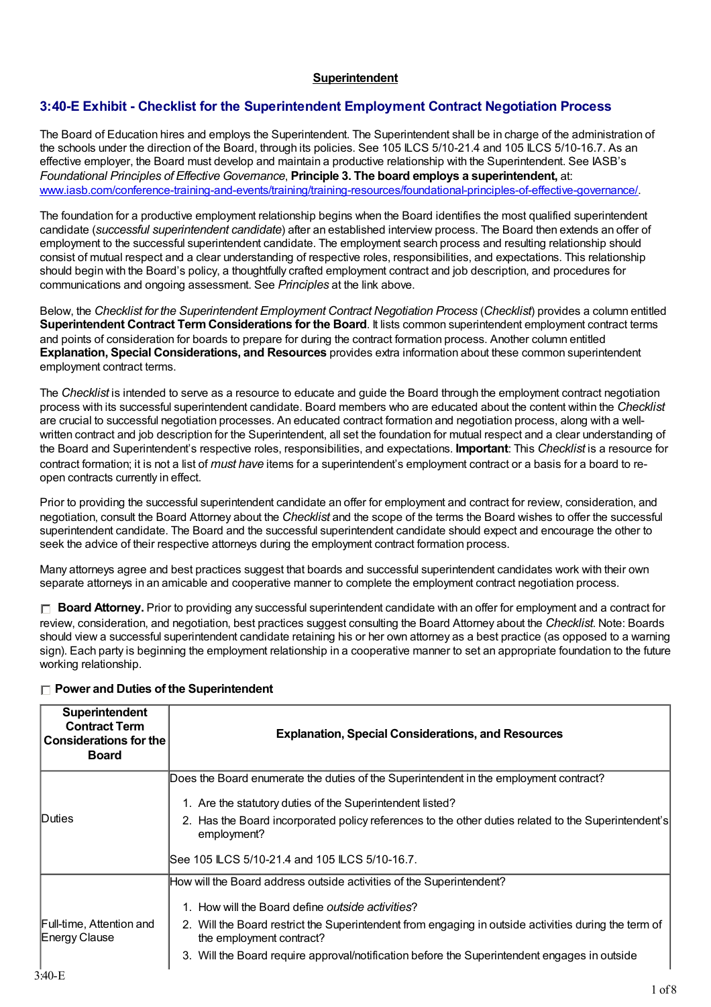#### **Superintendent**

#### **3:40-E Exhibit - Checklist for the Superintendent Employment Contract Negotiation Process**

The Board of Education hires and employs the Superintendent. The Superintendent shall be in charge of the administration of the schools under the direction of the Board, through its policies. See 105 ILCS 5/10-21.4 and 105 ILCS 5/10-16.7. As an effective employer, the Board must develop and maintain a productive relationship with the Superintendent. See IASB's *Foundational Principles of Effective Governance*, **Principle 3. The board employs a superintendent,** at: [www.iasb.com/conference-training-and-events/training/training-resources/foundational-principles-of-effective-governance/](http://www.iasb.com/conference-training-and-events/training/training-resources/foundational-principles-of-effective-governance/).

The foundation for a productive employment relationship begins when the Board identifies the most qualified superintendent candidate (*successful superintendent candidate*) after an established interview process. The Board then extends an offer of employment to the successful superintendent candidate. The employment search process and resulting relationship should consist of mutual respect and a clear understanding of respective roles, responsibilities, and expectations. This relationship should begin with the Board's policy, a thoughtfully crafted employment contract and job description, and procedures for communications and ongoing assessment. See *Principles* at the link above.

Below, the *Checklist for the Superintendent Employment Contract Negotiation Process* (*Checklist*) provides a column entitled **Superintendent Contract TermConsiderations for the Board**. It lists common superintendent employment contract terms and points of consideration for boards to prepare for during the contract formation process. Another column entitled **Explanation, Special Considerations, and Resources** provides extra information about these common superintendent employment contract terms.

The *Checklist* is intended to serve as a resource to educate and guide the Board through the employment contract negotiation process with its successful superintendent candidate. Board members who are educated about the content within the *Checklist* are crucial to successful negotiation processes. An educated contract formation and negotiation process, along with a wellwritten contract and job description for the Superintendent, all set the foundation for mutual respect and a clear understanding of the Board and Superintendent's respective roles, responsibilities, and expectations. **Important**: This *Checklist* is a resource for contract formation; it is not a list of *must have* items for a superintendent's employment contract or a basis for a board to reopen contracts currently in effect.

Prior to providing the successful superintendent candidate an offer for employment and contract for review, consideration, and negotiation, consult the Board Attorney about the *Checklist* and the scope of the terms the Board wishes to offer the successful superintendent candidate. The Board and the successful superintendent candidate should expect and encourage the other to seek the advice of their respective attorneys during the employment contract formation process.

Many attorneys agree and best practices suggest that boards and successful superintendent candidates work with their own separate attorneys in an amicable and cooperative manner to complete the employment contract negotiation process.

**Board Attorney.** Prior to providing any successful superintendent candidate with an offer for employment and a contract for review, consideration, and negotiation, best practices suggest consulting the Board Attorney about the *Checklist*. Note: Boards should view a successful superintendent candidate retaining his or her own attorney as a best practice (as opposed to a warning sign). Each party is beginning the employment relationship in a cooperative manner to set an appropriate foundation to the future working relationship.

| Superintendent<br><b>Contract Term</b><br><b>Considerations for the</b><br><b>Board</b> | <b>Explanation, Special Considerations, and Resources</b>                                                                        |
|-----------------------------------------------------------------------------------------|----------------------------------------------------------------------------------------------------------------------------------|
|                                                                                         | Does the Board enumerate the duties of the Superintendent in the employment contract?                                            |
|                                                                                         | 1. Are the statutory duties of the Superintendent listed?                                                                        |
| Duties                                                                                  | 2. Has the Board incorporated policy references to the other duties related to the Superintendent's<br>employment?               |
|                                                                                         | ISee 105 ILCS 5/10-21.4 and 105 ILCS 5/10-16.7.                                                                                  |
|                                                                                         | How will the Board address outside activities of the Superintendent?                                                             |
|                                                                                         | 1. How will the Board define outside activities?                                                                                 |
| Full-time, Attention and<br><b>Energy Clause</b>                                        | 2. Will the Board restrict the Superintendent from engaging in outside activities during the term of<br>the employment contract? |
|                                                                                         | 3. Will the Board require approval/notification before the Superintendent engages in outside                                     |

#### **Power and Duties of the Superintendent**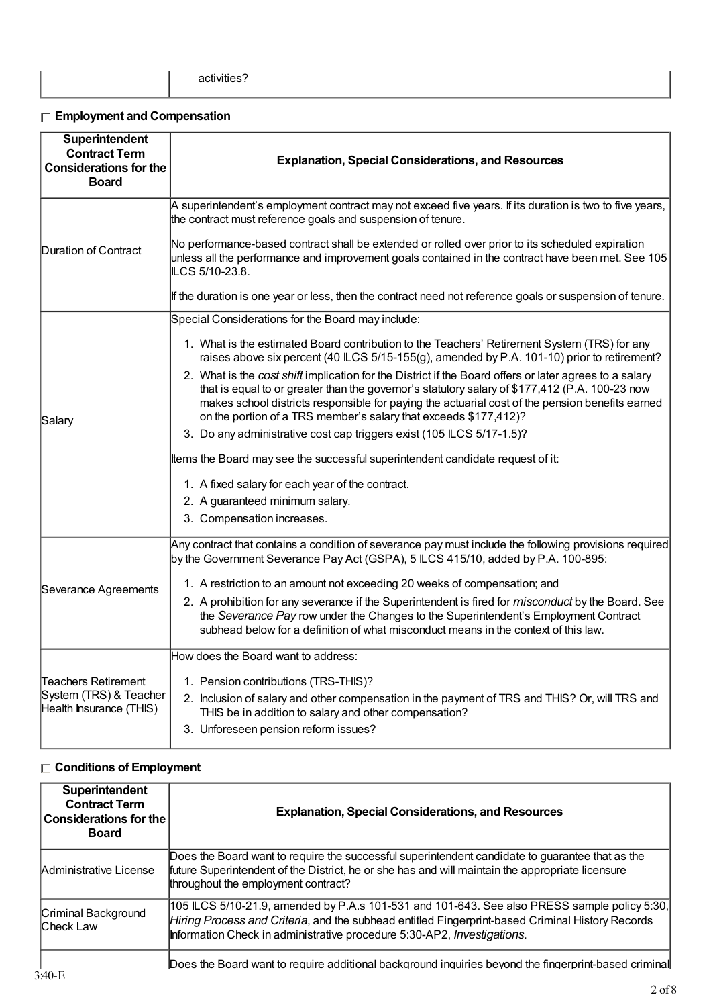## **Employment and Compensation**

| Superintendent<br><b>Contract Term</b><br><b>Considerations for the</b><br><b>Board</b> | <b>Explanation, Special Considerations, and Resources</b>                                                                                                                                                                                                                                                                                                                       |
|-----------------------------------------------------------------------------------------|---------------------------------------------------------------------------------------------------------------------------------------------------------------------------------------------------------------------------------------------------------------------------------------------------------------------------------------------------------------------------------|
|                                                                                         | A superintendent's employment contract may not exceed five years. If its duration is two to five years,<br>the contract must reference goals and suspension of tenure.                                                                                                                                                                                                          |
| Duration of Contract                                                                    | No performance-based contract shall be extended or rolled over prior to its scheduled expiration<br>unless all the performance and improvement goals contained in the contract have been met. See 105<br>LCS 5/10-23.8.                                                                                                                                                         |
|                                                                                         | If the duration is one year or less, then the contract need not reference goals or suspension of tenure.                                                                                                                                                                                                                                                                        |
|                                                                                         | Special Considerations for the Board may include:                                                                                                                                                                                                                                                                                                                               |
|                                                                                         | 1. What is the estimated Board contribution to the Teachers' Retirement System (TRS) for any<br>raises above six percent (40 ILCS 5/15-155(g), amended by P.A. 101-10) prior to retirement?                                                                                                                                                                                     |
| Salary                                                                                  | 2. What is the cost shift implication for the District if the Board offers or later agrees to a salary<br>that is equal to or greater than the governor's statutory salary of \$177,412 (P.A. 100-23 now<br>makes school districts responsible for paying the actuarial cost of the pension benefits earned<br>on the portion of a TRS member's salary that exceeds \$177,412)? |
|                                                                                         | 3. Do any administrative cost cap triggers exist (105 LCS 5/17-1.5)?                                                                                                                                                                                                                                                                                                            |
|                                                                                         | Items the Board may see the successful superintendent candidate request of it:                                                                                                                                                                                                                                                                                                  |
|                                                                                         | 1. A fixed salary for each year of the contract.                                                                                                                                                                                                                                                                                                                                |
|                                                                                         | 2. A guaranteed minimum salary.                                                                                                                                                                                                                                                                                                                                                 |
|                                                                                         | 3. Compensation increases.                                                                                                                                                                                                                                                                                                                                                      |
|                                                                                         | Any contract that contains a condition of severance pay must include the following provisions required<br>by the Government Severance Pay Act (GSPA), 5 ILCS 415/10, added by P.A. 100-895:                                                                                                                                                                                     |
|                                                                                         | 1. A restriction to an amount not exceeding 20 weeks of compensation; and                                                                                                                                                                                                                                                                                                       |
| Severance Agreements                                                                    | 2. A prohibition for any severance if the Superintendent is fired for <i>misconduct</i> by the Board. See<br>the Severance Pay row under the Changes to the Superintendent's Employment Contract<br>subhead below for a definition of what misconduct means in the context of this law.                                                                                         |
|                                                                                         | How does the Board want to address:                                                                                                                                                                                                                                                                                                                                             |
| <b>Teachers Retirement</b><br>System (TRS) & Teacher<br>Health Insurance (THIS)         | 1. Pension contributions (TRS-THIS)?<br>2. Inclusion of salary and other compensation in the payment of TRS and THIS? Or, will TRS and<br>THIS be in addition to salary and other compensation?<br>3. Unforeseen pension reform issues?                                                                                                                                         |

## **Conditions of Employment**

| Superintendent<br><b>Contract Term</b><br><b>Considerations for the</b><br><b>Board</b> | <b>Explanation, Special Considerations, and Resources</b>                                                                                                                                                                                                                  |
|-----------------------------------------------------------------------------------------|----------------------------------------------------------------------------------------------------------------------------------------------------------------------------------------------------------------------------------------------------------------------------|
| Administrative License                                                                  | Does the Board want to require the successful superintendent candidate to guarantee that as the<br>future Superintendent of the District, he or she has and will maintain the appropriate licensure<br>throughout the employment contract?                                 |
| Criminal Background<br>Check Law                                                        | 105 LCS 5/10-21.9, amended by P.A.s 101-531 and 101-643. See also PRESS sample policy 5:30,<br>Hiring Process and Criteria, and the subhead entitled Fingerprint-based Criminal History Records<br>Information Check in administrative procedure 5:30-AP2, Investigations. |
| $3:40-F$                                                                                | Does the Board want to require additional background inquiries beyond the fingerprint-based criminal                                                                                                                                                                       |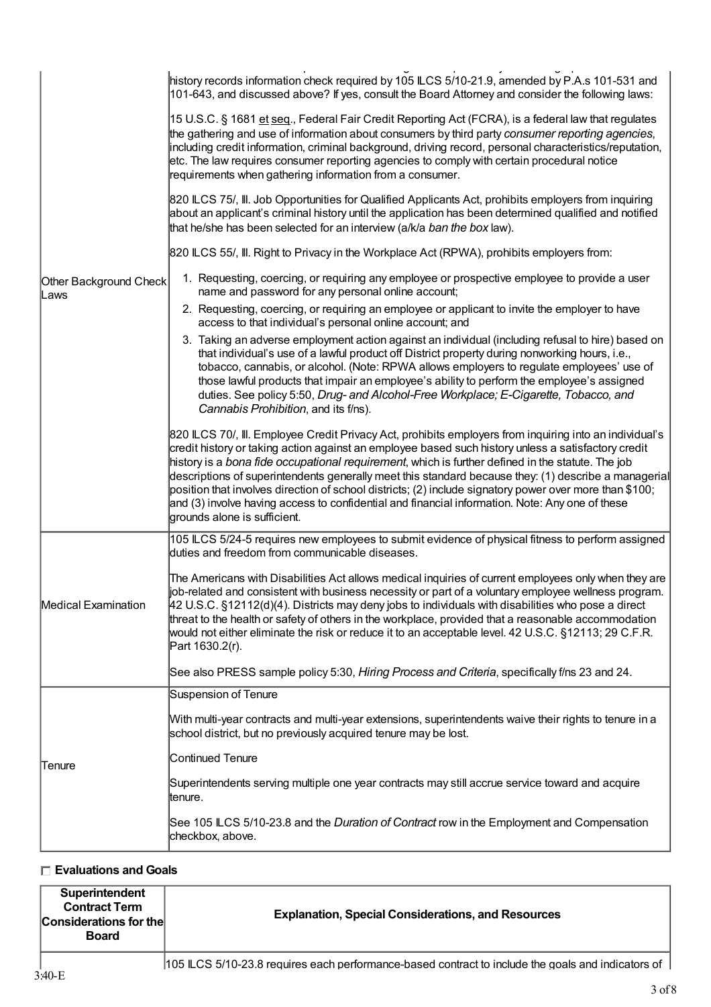|                                | history records information check required by 105 ILCS 5/10-21.9, amended by P.A.s 101-531 and<br>101-643, and discussed above? If yes, consult the Board Attorney and consider the following laws:                                                                                                                                                                                                                                                                                                                                                                                                                                                                       |
|--------------------------------|---------------------------------------------------------------------------------------------------------------------------------------------------------------------------------------------------------------------------------------------------------------------------------------------------------------------------------------------------------------------------------------------------------------------------------------------------------------------------------------------------------------------------------------------------------------------------------------------------------------------------------------------------------------------------|
|                                | 15 U.S.C. § 1681 et seq., Federal Fair Credit Reporting Act (FCRA), is a federal law that regulates<br>the gathering and use of information about consumers by third party consumer reporting agencies,<br>including credit information, criminal background, driving record, personal characteristics/reputation,<br>etc. The law requires consumer reporting agencies to comply with certain procedural notice<br>requirements when gathering information from a consumer.                                                                                                                                                                                              |
|                                | 820 ILCS 75/, III. Job Opportunities for Qualified Applicants Act, prohibits employers from inquiring<br>about an applicant's criminal history until the application has been determined qualified and notified<br>that he/she has been selected for an interview (a/k/a ban the box law).                                                                                                                                                                                                                                                                                                                                                                                |
|                                | 820 ILCS 55/, III. Right to Privacy in the Workplace Act (RPWA), prohibits employers from:                                                                                                                                                                                                                                                                                                                                                                                                                                                                                                                                                                                |
| Other Background Check<br>Laws | 1. Requesting, coercing, or requiring any employee or prospective employee to provide a user<br>name and password for any personal online account;                                                                                                                                                                                                                                                                                                                                                                                                                                                                                                                        |
|                                | 2. Requesting, coercing, or requiring an employee or applicant to invite the employer to have<br>access to that individual's personal online account; and                                                                                                                                                                                                                                                                                                                                                                                                                                                                                                                 |
|                                | 3. Taking an adverse employment action against an individual (including refusal to hire) based on<br>that individual's use of a lawful product off District property during nonworking hours, i.e.,<br>tobacco, cannabis, or alcohol. (Note: RPWA allows employers to regulate employees' use of<br>those lawful products that impair an employee's ability to perform the employee's assigned<br>duties. See policy 5:50, Drug- and Alcohol-Free Workplace; E-Cigarette, Tobacco, and<br>Cannabis Prohibition, and its f/ns).                                                                                                                                            |
|                                | 820 ILCS 70/, III. Employee Credit Privacy Act, prohibits employers from inquiring into an individual's<br>credit history or taking action against an employee based such history unless a satisfactory credit<br>history is a bona fide occupational requirement, which is further defined in the statute. The job<br>descriptions of superintendents generally meet this standard because they: (1) describe a managerial<br>position that involves direction of school districts; (2) include signatory power over more than \$100;<br>and (3) involve having access to confidential and financial information. Note: Any one of these<br>grounds alone is sufficient. |
|                                | 105 ILCS 5/24-5 requires new employees to submit evidence of physical fitness to perform assigned<br>duties and freedom from communicable diseases.                                                                                                                                                                                                                                                                                                                                                                                                                                                                                                                       |
| Medical Examination            | The Americans with Disabilities Act allows medical inquiries of current employees only when they are<br>job-related and consistent with business necessity or part of a voluntary employee wellness program.<br>$42$ U.S.C. §12112(d)(4). Districts may deny jobs to individuals with disabilities who pose a direct<br>threat to the health or safety of others in the workplace, provided that a reasonable accommodation<br>would not either eliminate the risk or reduce it to an acceptable level. 42 U.S.C. §12113; 29 C.F.R.<br>Part 1630.2(r).                                                                                                                    |
|                                | See also PRESS sample policy 5:30, Hiring Process and Criteria, specifically f/ns 23 and 24.                                                                                                                                                                                                                                                                                                                                                                                                                                                                                                                                                                              |
|                                | Suspension of Tenure                                                                                                                                                                                                                                                                                                                                                                                                                                                                                                                                                                                                                                                      |
|                                | With multi-year contracts and multi-year extensions, superintendents waive their rights to tenure in a<br>school district, but no previously acquired tenure may be lost.                                                                                                                                                                                                                                                                                                                                                                                                                                                                                                 |
| Tenure                         | Continued Tenure                                                                                                                                                                                                                                                                                                                                                                                                                                                                                                                                                                                                                                                          |
|                                | Superintendents serving multiple one year contracts may still accrue service toward and acquire<br>ltenure.                                                                                                                                                                                                                                                                                                                                                                                                                                                                                                                                                               |
|                                | See 105 ILCS 5/10-23.8 and the <i>Duration of Contract</i> row in the Employment and Compensation<br>checkbox, above.                                                                                                                                                                                                                                                                                                                                                                                                                                                                                                                                                     |

## **Evaluations and Goals**

| Superintendent<br><b>Contract Term</b><br><b>Considerations for the</b><br><b>Board</b> | <b>Explanation, Special Considerations, and Resources</b>                                                           |
|-----------------------------------------------------------------------------------------|---------------------------------------------------------------------------------------------------------------------|
|                                                                                         | <b>ACE II OO FMO OO O</b> as a stage of a late of a second contract to the late the second contract of the stage of |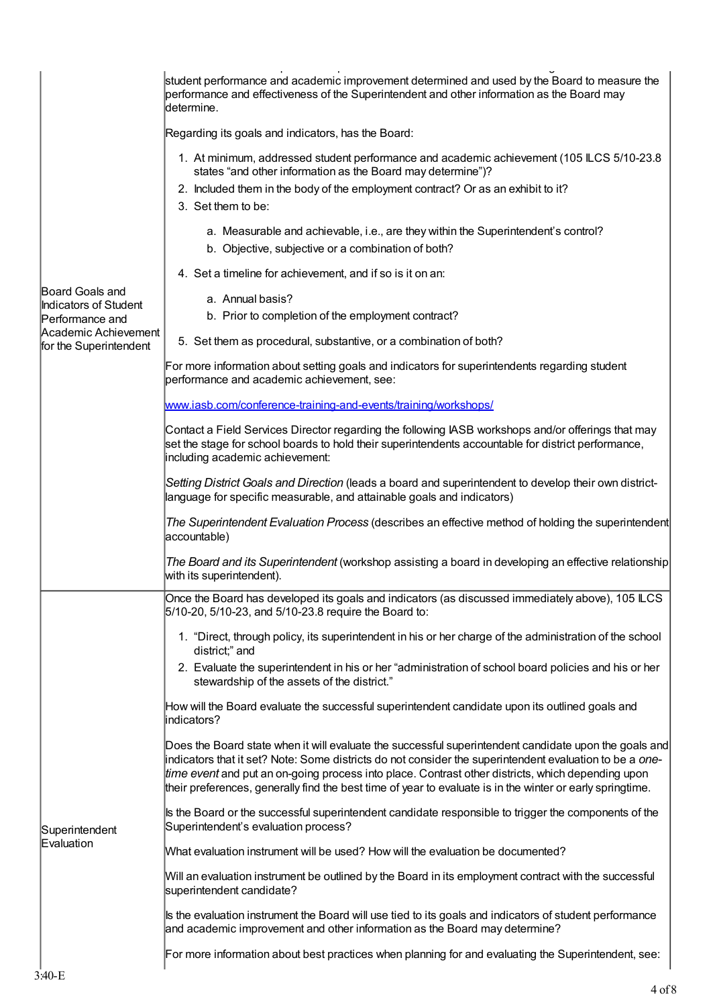|                                                | student performance and academic improvement determined and used by the Board to measure the<br>performance and effectiveness of the Superintendent and other information as the Board may<br>determine.                                                                                                                                                                                                                           |
|------------------------------------------------|------------------------------------------------------------------------------------------------------------------------------------------------------------------------------------------------------------------------------------------------------------------------------------------------------------------------------------------------------------------------------------------------------------------------------------|
|                                                | Regarding its goals and indicators, has the Board:                                                                                                                                                                                                                                                                                                                                                                                 |
|                                                | 1. At minimum, addressed student performance and academic achievement (105 LCS 5/10-23.8<br>states "and other information as the Board may determine")?<br>2. Included them in the body of the employment contract? Or as an exhibit to it?                                                                                                                                                                                        |
|                                                | 3. Set them to be:                                                                                                                                                                                                                                                                                                                                                                                                                 |
|                                                | a. Measurable and achievable, i.e., are they within the Superintendent's control?<br>b. Objective, subjective or a combination of both?                                                                                                                                                                                                                                                                                            |
|                                                | 4. Set a timeline for achievement, and if so is it on an:                                                                                                                                                                                                                                                                                                                                                                          |
| Board Goals and<br>Indicators of Student       | a. Annual basis?                                                                                                                                                                                                                                                                                                                                                                                                                   |
| Performance and                                | b. Prior to completion of the employment contract?                                                                                                                                                                                                                                                                                                                                                                                 |
| Academic Achievement<br>for the Superintendent | 5. Set them as procedural, substantive, or a combination of both?                                                                                                                                                                                                                                                                                                                                                                  |
|                                                | For more information about setting goals and indicators for superintendents regarding student<br>performance and academic achievement, see:                                                                                                                                                                                                                                                                                        |
|                                                | www.iasb.com/conference-training-and-events/training/workshops/                                                                                                                                                                                                                                                                                                                                                                    |
|                                                | Contact a Field Services Director regarding the following IASB workshops and/or offerings that may<br>set the stage for school boards to hold their superintendents accountable for district performance,<br>including academic achievement:                                                                                                                                                                                       |
|                                                | Setting District Goals and Direction (leads a board and superintendent to develop their own district-<br>language for specific measurable, and attainable goals and indicators)                                                                                                                                                                                                                                                    |
|                                                | The Superintendent Evaluation Process (describes an effective method of holding the superintendent<br>accountable)                                                                                                                                                                                                                                                                                                                 |
|                                                | The Board and its Superintendent (workshop assisting a board in developing an effective relationship<br>with its superintendent).                                                                                                                                                                                                                                                                                                  |
|                                                | Once the Board has developed its goals and indicators (as discussed immediately above), 105 ILCS<br>5/10-20, 5/10-23, and 5/10-23.8 require the Board to:                                                                                                                                                                                                                                                                          |
|                                                | 1. "Direct, through policy, its superintendent in his or her charge of the administration of the school<br>district;" and                                                                                                                                                                                                                                                                                                          |
|                                                | 2. Evaluate the superintendent in his or her "administration of school board policies and his or her<br>stewardship of the assets of the district."                                                                                                                                                                                                                                                                                |
|                                                | How will the Board evaluate the successful superintendent candidate upon its outlined goals and<br>indicators?                                                                                                                                                                                                                                                                                                                     |
|                                                | Does the Board state when it will evaluate the successful superintendent candidate upon the goals and<br>indicators that it set? Note: Some districts do not consider the superintendent evaluation to be a one-<br>time event and put an on-going process into place. Contrast other districts, which depending upon<br>their preferences, generally find the best time of year to evaluate is in the winter or early springtime. |
| Superintendent                                 | Is the Board or the successful superintendent candidate responsible to trigger the components of the<br>Superintendent's evaluation process?                                                                                                                                                                                                                                                                                       |
| Evaluation                                     | What evaluation instrument will be used? How will the evaluation be documented?                                                                                                                                                                                                                                                                                                                                                    |
|                                                | Will an evaluation instrument be outlined by the Board in its employment contract with the successful<br>superintendent candidate?                                                                                                                                                                                                                                                                                                 |
|                                                | Is the evaluation instrument the Board will use tied to its goals and indicators of student performance<br>and academic improvement and other information as the Board may determine?                                                                                                                                                                                                                                              |
|                                                | For more information about best practices when planning for and evaluating the Superintendent, see:                                                                                                                                                                                                                                                                                                                                |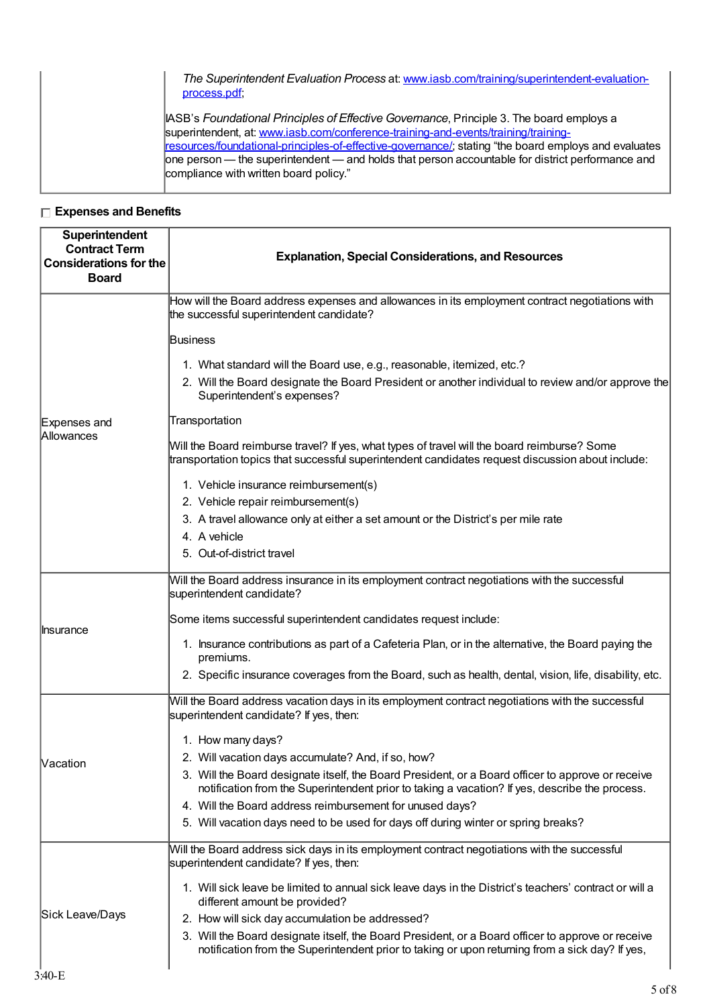| The Superintendent Evaluation Process at: www.iasb.com/training/superintendent-evaluation-<br>process.pdf:                                                                                                                                                                                                                                                                                                                           |
|--------------------------------------------------------------------------------------------------------------------------------------------------------------------------------------------------------------------------------------------------------------------------------------------------------------------------------------------------------------------------------------------------------------------------------------|
| IASB's Foundational Principles of Effective Governance, Principle 3. The board employs a<br>superintendent, at: www.iasb.com/conference-training-and-events/training/training-<br>resources/foundational-principles-of-effective-governance/; stating "the board employs and evaluates<br>one person — the superintendent — and holds that person accountable for district performance and<br>compliance with written board policy." |

## **Expenses and Benefits**

| Superintendent<br><b>Contract Term</b><br><b>Considerations for the</b><br><b>Board</b> | <b>Explanation, Special Considerations, and Resources</b>                                                                                                                                                  |
|-----------------------------------------------------------------------------------------|------------------------------------------------------------------------------------------------------------------------------------------------------------------------------------------------------------|
|                                                                                         | How will the Board address expenses and allowances in its employment contract negotiations with<br>the successful superintendent candidate?                                                                |
|                                                                                         | <b>Business</b>                                                                                                                                                                                            |
|                                                                                         | 1. What standard will the Board use, e.g., reasonable, itemized, etc.?<br>2. Will the Board designate the Board President or another individual to review and/or approve the<br>Superintendent's expenses? |
| Expenses and                                                                            | Transportation                                                                                                                                                                                             |
| Allowances                                                                              | Will the Board reimburse travel? If yes, what types of travel will the board reimburse? Some<br>transportation topics that successful superintendent candidates request discussion about include:          |
|                                                                                         | 1. Vehicle insurance reimbursement(s)                                                                                                                                                                      |
|                                                                                         | 2. Vehicle repair reimbursement(s)                                                                                                                                                                         |
|                                                                                         | 3. A travel allowance only at either a set amount or the District's per mile rate                                                                                                                          |
|                                                                                         | 4. A vehicle                                                                                                                                                                                               |
|                                                                                         | 5. Out-of-district travel                                                                                                                                                                                  |
|                                                                                         | Will the Board address insurance in its employment contract negotiations with the successful<br>superintendent candidate?                                                                                  |
| <b>Insurance</b>                                                                        | Some items successful superintendent candidates request include:                                                                                                                                           |
|                                                                                         | 1. Insurance contributions as part of a Cafeteria Plan, or in the alternative, the Board paying the<br>premiums.                                                                                           |
|                                                                                         | 2. Specific insurance coverages from the Board, such as health, dental, vision, life, disability, etc.                                                                                                     |
|                                                                                         | Will the Board address vacation days in its employment contract negotiations with the successful<br>superintendent candidate? If yes, then:                                                                |
|                                                                                         | 1. How many days?                                                                                                                                                                                          |
| Nacation                                                                                | 2. Will vacation days accumulate? And, if so, how?                                                                                                                                                         |
|                                                                                         | 3. Will the Board designate itself, the Board President, or a Board officer to approve or receive<br>notification from the Superintendent prior to taking a vacation? If yes, describe the process.        |
|                                                                                         | 4. Will the Board address reimbursement for unused days?                                                                                                                                                   |
|                                                                                         | 5. Will vacation days need to be used for days off during winter or spring breaks?                                                                                                                         |
|                                                                                         | Will the Board address sick days in its employment contract negotiations with the successful<br>superintendent candidate? If yes, then:                                                                    |
|                                                                                         | 1. Will sick leave be limited to annual sick leave days in the District's teachers' contract or will a<br>different amount be provided?                                                                    |
| Sick Leave/Days                                                                         | 2. How will sick day accumulation be addressed?                                                                                                                                                            |
|                                                                                         | 3. Will the Board designate itself, the Board President, or a Board officer to approve or receive<br>notification from the Superintendent prior to taking or upon returning from a sick day? If yes,       |
|                                                                                         |                                                                                                                                                                                                            |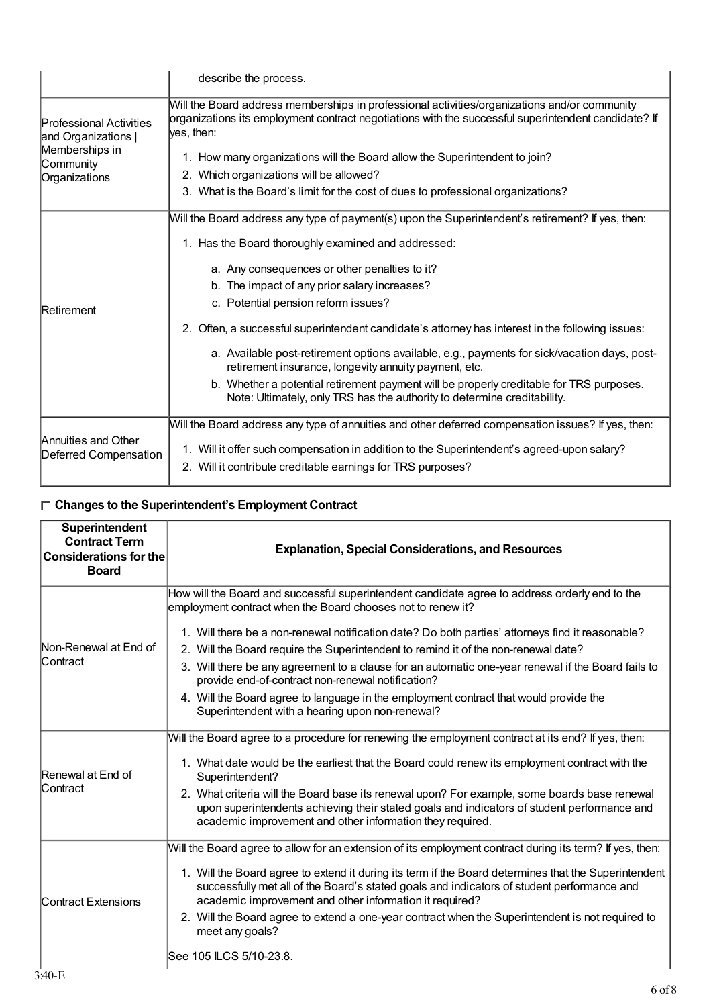|                                              | describe the process.                                                                                                                                                                                             |
|----------------------------------------------|-------------------------------------------------------------------------------------------------------------------------------------------------------------------------------------------------------------------|
| Professional Activities<br>and Organizations | Will the Board address memberships in professional activities/organizations and/or community<br>organizations its employment contract negotiations with the successful superintendent candidate? If<br>yes, then: |
| Memberships in<br>Community                  | 1. How many organizations will the Board allow the Superintendent to join?                                                                                                                                        |
| Organizations                                | 2. Which organizations will be allowed?                                                                                                                                                                           |
|                                              | 3. What is the Board's limit for the cost of dues to professional organizations?                                                                                                                                  |
|                                              | Will the Board address any type of payment(s) upon the Superintendent's retirement? If yes, then:                                                                                                                 |
|                                              | 1. Has the Board thoroughly examined and addressed:                                                                                                                                                               |
|                                              | a. Any consequences or other penalties to it?                                                                                                                                                                     |
|                                              | b. The impact of any prior salary increases?                                                                                                                                                                      |
| Retirement                                   | c. Potential pension reform issues?                                                                                                                                                                               |
|                                              | 2. Often, a successful superintendent candidate's attorney has interest in the following issues:                                                                                                                  |
|                                              | a. Available post-retirement options available, e.g., payments for sick/vacation days, post-<br>retirement insurance, longevity annuity payment, etc.                                                             |
|                                              | b. Whether a potential retirement payment will be properly creditable for TRS purposes.<br>Note: Ultimately, only TRS has the authority to determine creditability.                                               |
|                                              | Will the Board address any type of annuities and other deferred compensation issues? If yes, then:                                                                                                                |
| Annuities and Other<br>Deferred Compensation | 1. Will it offer such compensation in addition to the Superintendent's agreed-upon salary?                                                                                                                        |
|                                              | 2. Will it contribute creditable earnings for TRS purposes?                                                                                                                                                       |

#### **Changes to the Superintendent's Employment Contract**

| Superintendent<br><b>Contract Term</b><br><b>Considerations for the</b><br><b>Board</b> | <b>Explanation, Special Considerations, and Resources</b>                                                                                                                                                                                                                                                                                                                                                                                                                                        |
|-----------------------------------------------------------------------------------------|--------------------------------------------------------------------------------------------------------------------------------------------------------------------------------------------------------------------------------------------------------------------------------------------------------------------------------------------------------------------------------------------------------------------------------------------------------------------------------------------------|
|                                                                                         | How will the Board and successful superintendent candidate agree to address orderly end to the<br>employment contract when the Board chooses not to renew it?                                                                                                                                                                                                                                                                                                                                    |
| Non-Renewal at End of<br>lContract                                                      | 1. Will there be a non-renewal notification date? Do both parties' attorneys find it reasonable?<br>2. Will the Board require the Superintendent to remind it of the non-renewal date?<br>3. Will there be any agreement to a clause for an automatic one-year renewal if the Board fails to<br>provide end-of-contract non-renewal notification?                                                                                                                                                |
|                                                                                         | 4. Will the Board agree to language in the employment contract that would provide the<br>Superintendent with a hearing upon non-renewal?                                                                                                                                                                                                                                                                                                                                                         |
| Renewal at End of<br>lContract                                                          | Will the Board agree to a procedure for renewing the employment contract at its end? If yes, then:<br>1. What date would be the earliest that the Board could renew its employment contract with the<br>Superintendent?<br>2. What criteria will the Board base its renewal upon? For example, some boards base renewal<br>upon superintendents achieving their stated goals and indicators of student performance and<br>academic improvement and other information they required.              |
| <b>Contract Extensions</b>                                                              | Will the Board agree to allow for an extension of its employment contract during its term? If yes, then:<br>1. Will the Board agree to extend it during its term if the Board determines that the Superintendent<br>successfully met all of the Board's stated goals and indicators of student performance and<br>academic improvement and other information it required?<br>2. Will the Board agree to extend a one-year contract when the Superintendent is not required to<br>meet any goals? |
|                                                                                         | See 105 ILCS 5/10-23.8.                                                                                                                                                                                                                                                                                                                                                                                                                                                                          |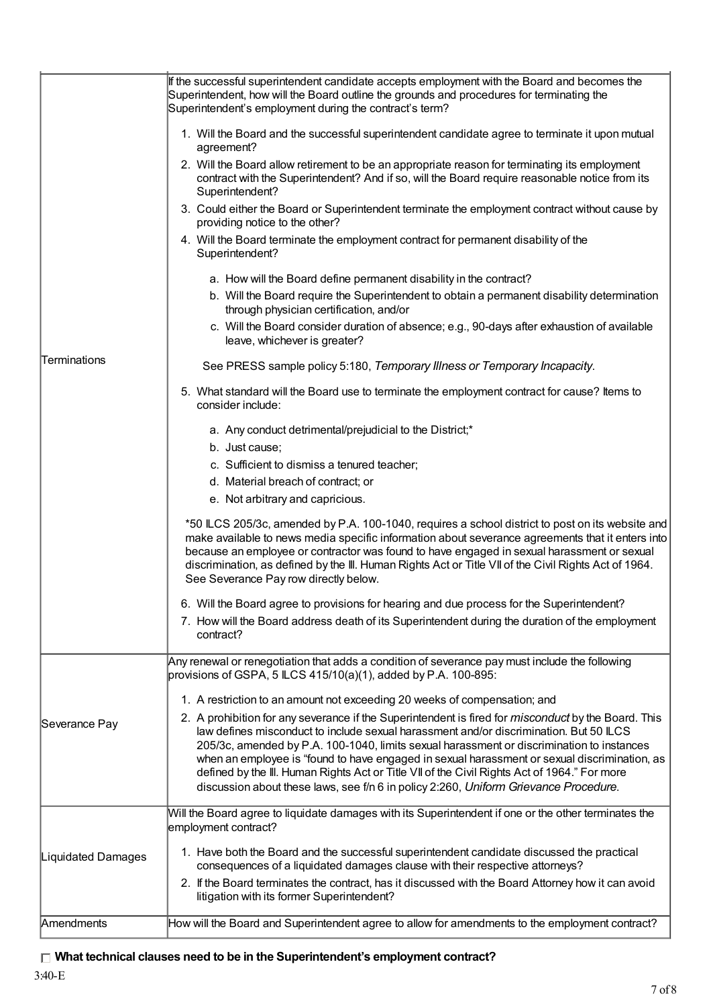|                     | If the successful superintendent candidate accepts employment with the Board and becomes the<br>Superintendent, how will the Board outline the grounds and procedures for terminating the<br>Superintendent's employment during the contract's term?                                                                                                                                                                                                 |
|---------------------|------------------------------------------------------------------------------------------------------------------------------------------------------------------------------------------------------------------------------------------------------------------------------------------------------------------------------------------------------------------------------------------------------------------------------------------------------|
|                     | 1. Will the Board and the successful superintendent candidate agree to terminate it upon mutual<br>agreement?                                                                                                                                                                                                                                                                                                                                        |
|                     | 2. Will the Board allow retirement to be an appropriate reason for terminating its employment<br>contract with the Superintendent? And if so, will the Board require reasonable notice from its<br>Superintendent?                                                                                                                                                                                                                                   |
|                     | 3. Could either the Board or Superintendent terminate the employment contract without cause by<br>providing notice to the other?                                                                                                                                                                                                                                                                                                                     |
|                     | 4. Will the Board terminate the employment contract for permanent disability of the<br>Superintendent?                                                                                                                                                                                                                                                                                                                                               |
|                     | a. How will the Board define permanent disability in the contract?                                                                                                                                                                                                                                                                                                                                                                                   |
|                     | b. Will the Board require the Superintendent to obtain a permanent disability determination<br>through physician certification, and/or                                                                                                                                                                                                                                                                                                               |
|                     | c. Will the Board consider duration of absence; e.g., 90-days after exhaustion of available<br>leave, whichever is greater?                                                                                                                                                                                                                                                                                                                          |
| <b>Terminations</b> | See PRESS sample policy 5:180, Temporary Illness or Temporary Incapacity.                                                                                                                                                                                                                                                                                                                                                                            |
|                     | 5. What standard will the Board use to terminate the employment contract for cause? Items to<br>consider include:                                                                                                                                                                                                                                                                                                                                    |
|                     | a. Any conduct detrimental/prejudicial to the District;*                                                                                                                                                                                                                                                                                                                                                                                             |
|                     | b. Just cause;                                                                                                                                                                                                                                                                                                                                                                                                                                       |
|                     | c. Sufficient to dismiss a tenured teacher;                                                                                                                                                                                                                                                                                                                                                                                                          |
|                     | d. Material breach of contract; or                                                                                                                                                                                                                                                                                                                                                                                                                   |
|                     | e. Not arbitrary and capricious.                                                                                                                                                                                                                                                                                                                                                                                                                     |
|                     | *50 ILCS 205/3c, amended by P.A. 100-1040, requires a school district to post on its website and<br>make available to news media specific information about severance agreements that it enters into<br>because an employee or contractor was found to have engaged in sexual harassment or sexual<br>discrimination, as defined by the III. Human Rights Act or Title VII of the Civil Rights Act of 1964.<br>See Severance Pay row directly below. |
|                     |                                                                                                                                                                                                                                                                                                                                                                                                                                                      |
|                     | 6. Will the Board agree to provisions for hearing and due process for the Superintendent?<br>7. How will the Board address death of its Superintendent during the duration of the employment<br>contract?                                                                                                                                                                                                                                            |
|                     | Any renewal or renegotiation that adds a condition of severance pay must include the following                                                                                                                                                                                                                                                                                                                                                       |
|                     | provisions of GSPA, 5 LCS $415/10(a)(1)$ , added by P.A. 100-895:                                                                                                                                                                                                                                                                                                                                                                                    |
|                     | 1. A restriction to an amount not exceeding 20 weeks of compensation; and                                                                                                                                                                                                                                                                                                                                                                            |
| Severance Pay       | 2. A prohibition for any severance if the Superintendent is fired for <i>misconduct</i> by the Board. This                                                                                                                                                                                                                                                                                                                                           |
|                     | law defines misconduct to include sexual harassment and/or discrimination. But 50 ILCS                                                                                                                                                                                                                                                                                                                                                               |
|                     | 205/3c, amended by P.A. 100-1040, limits sexual harassment or discrimination to instances                                                                                                                                                                                                                                                                                                                                                            |
|                     | when an employee is "found to have engaged in sexual harassment or sexual discrimination, as<br>defined by the III. Human Rights Act or Title VII of the Civil Rights Act of 1964." For more                                                                                                                                                                                                                                                         |
|                     | discussion about these laws, see f/n 6 in policy 2:260, Uniform Grievance Procedure.                                                                                                                                                                                                                                                                                                                                                                 |
|                     | Will the Board agree to liquidate damages with its Superintendent if one or the other terminates the<br>employment contract?                                                                                                                                                                                                                                                                                                                         |
| Liquidated Damages  | 1. Have both the Board and the successful superintendent candidate discussed the practical<br>consequences of a liquidated damages clause with their respective attorneys?                                                                                                                                                                                                                                                                           |
|                     | 2. If the Board terminates the contract, has it discussed with the Board Attorney how it can avoid<br>litigation with its former Superintendent?                                                                                                                                                                                                                                                                                                     |
| Amendments          | How will the Board and Superintendent agree to allow for amendments to the employment contract?                                                                                                                                                                                                                                                                                                                                                      |
|                     |                                                                                                                                                                                                                                                                                                                                                                                                                                                      |

# **What technical clauses need to be in the Superintendent's employment contract?**